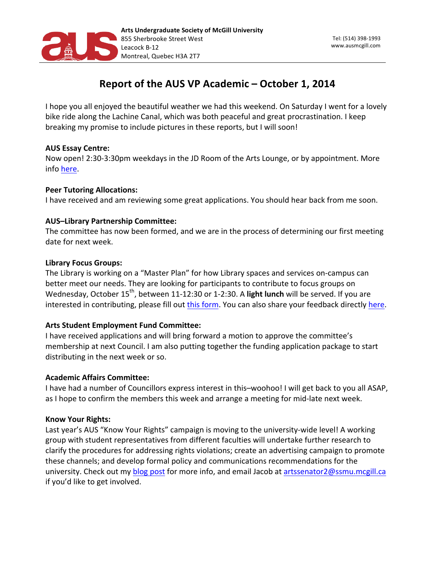

# Report of the AUS VP Academic - October 1, 2014

I hope you all enjoyed the beautiful weather we had this weekend. On Saturday I went for a lovely bike ride along the Lachine Canal, which was both peaceful and great procrastination. I keep breaking my promise to include pictures in these reports, but I will soon!

# **AUS Essay Centre:**

Now open! 2:30-3:30pm weekdays in the JD Room of the Arts Lounge, or by appointment. More info here.

# **Peer Tutoring Allocations:**

I have received and am reviewing some great applications. You should hear back from me soon.

# **AUS-Library Partnership Committee:**

The committee has now been formed, and we are in the process of determining our first meeting date for next week.

#### **Library Focus Groups:**

The Library is working on a "Master Plan" for how Library spaces and services on-campus can better meet our needs. They are looking for participants to contribute to focus groups on Wednesday, October 15<sup>th</sup>, between 11-12:30 or 1-2:30. A light lunch will be served. If you are interested in contributing, please fill out this form. You can also share your feedback directly here.

# **Arts Student Employment Fund Committee:**

I have received applications and will bring forward a motion to approve the committee's membership at next Council. I am also putting together the funding application package to start distributing in the next week or so.

#### **Academic Affairs Committee:**

I have had a number of Councillors express interest in this–woohoo! I will get back to you all ASAP, as I hope to confirm the members this week and arrange a meeting for mid-late next week.

#### **Know Your Rights:**

Last year's AUS "Know Your Rights" campaign is moving to the university-wide level! A working group with student representatives from different faculties will undertake further research to clarify the procedures for addressing rights violations; create an advertising campaign to promote these channels; and develop formal policy and communications recommendations for the university. Check out my blog post for more info, and email Jacob at artssenator2@ssmu.mcgill.ca if you'd like to get involved.